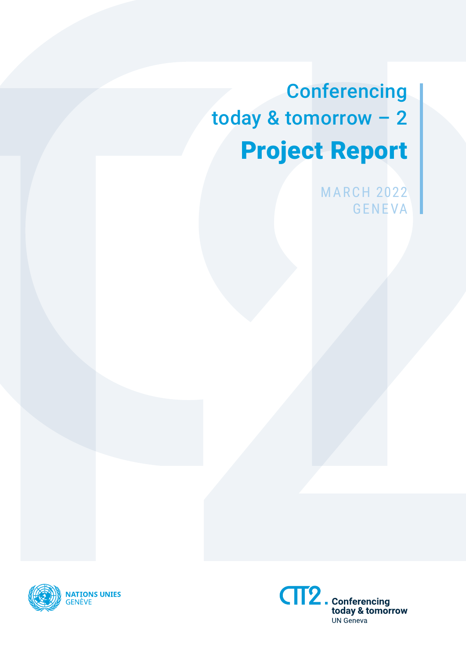**Conferencing** today & tomorrow – 2 Project Report

> **MARCH 2022** GENEVA



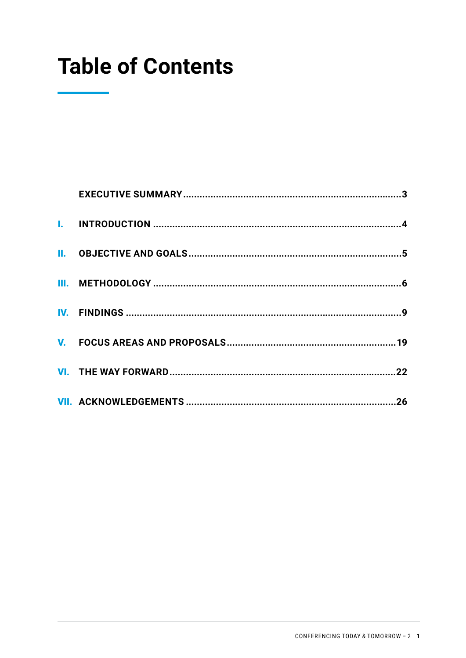# **Table of Contents**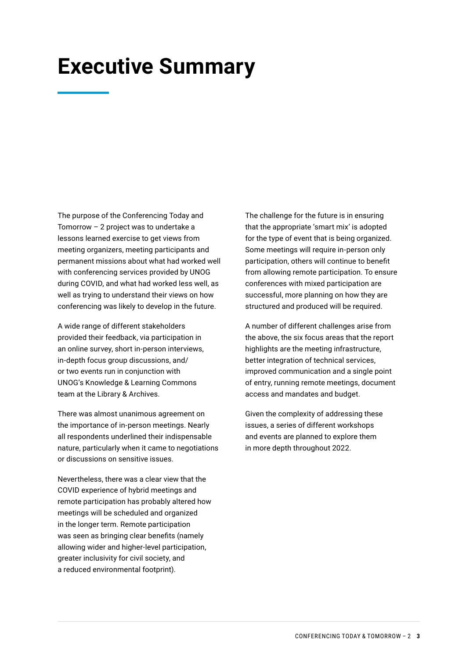## <span id="page-3-0"></span>**Executive Summary**

The purpose of the Conferencing Today and Tomorrow – 2 project was to undertake a lessons learned exercise to get views from meeting organizers, meeting participants and permanent missions about what had worked well with conferencing services provided by UNOG during COVID, and what had worked less well, as well as trying to understand their views on how conferencing was likely to develop in the future.

A wide range of different stakeholders provided their feedback, via participation in an online survey, short in-person interviews, in-depth focus group discussions, and/ or two events run in conjunction with UNOG's Knowledge & Learning Commons team at the Library & Archives.

There was almost unanimous agreement on the importance of in-person meetings. Nearly all respondents underlined their indispensable nature, particularly when it came to negotiations or discussions on sensitive issues.

Nevertheless, there was a clear view that the COVID experience of hybrid meetings and remote participation has probably altered how meetings will be scheduled and organized in the longer term. Remote participation was seen as bringing clear benefits (namely allowing wider and higher-level participation, greater inclusivity for civil society, and a reduced environmental footprint).

The challenge for the future is in ensuring that the appropriate 'smart mix' is adopted for the type of event that is being organized. Some meetings will require in-person only participation, others will continue to benefit from allowing remote participation. To ensure conferences with mixed participation are successful, more planning on how they are structured and produced will be required.

A number of different challenges arise from the above, the six focus areas that the report highlights are the meeting infrastructure, better integration of technical services, improved communication and a single point of entry, running remote meetings, document access and mandates and budget.

Given the complexity of addressing these issues, a series of different workshops and events are planned to explore them in more depth throughout 2022.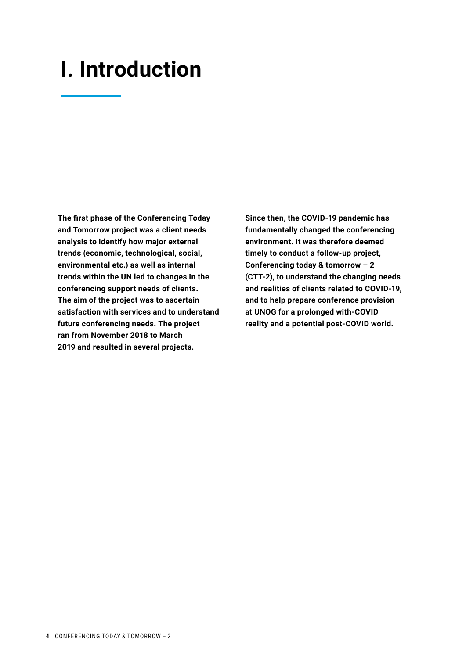## <span id="page-4-0"></span>**I. Introduction**

**The first phase of the Conferencing Today and Tomorrow project was a client needs analysis to identify how major external trends (economic, technological, social, environmental etc.) as well as internal trends within the UN led to changes in the conferencing support needs of clients. The aim of the project was to ascertain satisfaction with services and to understand future conferencing needs. The project ran from November 2018 to March 2019 and resulted in several projects.**

**Since then, the COVID-19 pandemic has fundamentally changed the conferencing environment. It was therefore deemed timely to conduct a follow-up project, Conferencing today & tomorrow – 2 (CTT-2), to understand the changing needs and realities of clients related to COVID-19, and to help prepare conference provision at UNOG for a prolonged with-COVID reality and a potential post-COVID world.**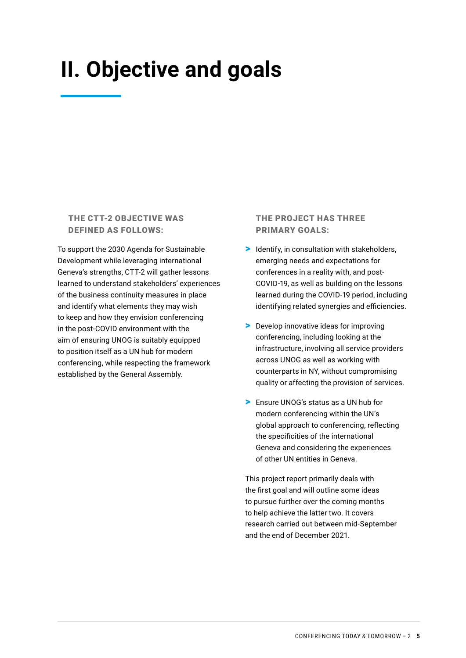# <span id="page-5-0"></span>**II. Objective and goals**

#### THE CTT-2 OBJECTIVE WAS DEFINED AS FOLLOWS:

To support the 2030 Agenda for Sustainable Development while leveraging international Geneva's strengths, CTT-2 will gather lessons learned to understand stakeholders' experiences of the business continuity measures in place and identify what elements they may wish to keep and how they envision conferencing in the post-COVID environment with the aim of ensuring UNOG is suitably equipped to position itself as a UN hub for modern conferencing, while respecting the framework established by the General Assembly.

#### THE PROJECT HAS THREE PRIMARY GOALS:

- > Identify, in consultation with stakeholders, emerging needs and expectations for conferences in a reality with, and post-COVID-19, as well as building on the lessons learned during the COVID-19 period, including identifying related synergies and efficiencies.
- > Develop innovative ideas for improving conferencing, including looking at the infrastructure, involving all service providers across UNOG as well as working with counterparts in NY, without compromising quality or affecting the provision of services.
- > Ensure UNOG's status as a UN hub for modern conferencing within the UN's global approach to conferencing, reflecting the specificities of the international Geneva and considering the experiences of other UN entities in Geneva.

This project report primarily deals with the first goal and will outline some ideas to pursue further over the coming months to help achieve the latter two. It covers research carried out between mid-September and the end of December 2021.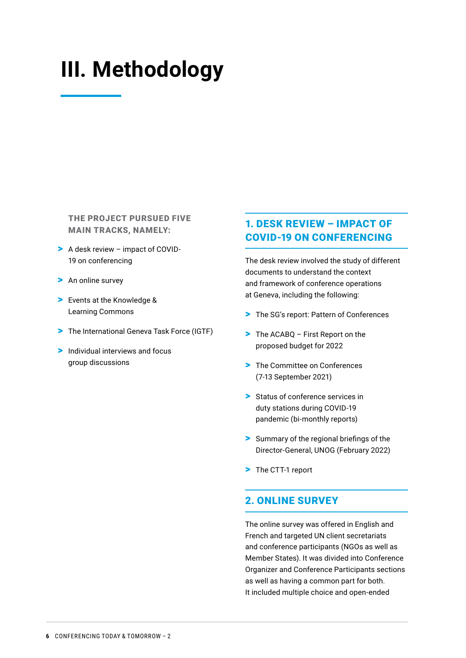# <span id="page-6-0"></span>**III. Methodology**

THE PROJECT PURSUED FIVE MAIN TRACKS, NAMELY:

- > A desk review impact of COVID-19 on conferencing
- > An online survey
- > Events at the Knowledge & Learning Commons
- > The International Geneva Task Force (IGTF)
- > Individual interviews and focus group discussions

#### 1. DESK REVIEW – IMPACT OF COVID-19 ON CONFERENCING

The desk review involved the study of different documents to understand the context and framework of conference operations at Geneva, including the following:

- > The SG's report: Pattern of Conferences
- > The ACABQ First Report on the proposed budget for 2022
- > The Committee on Conferences (7-13 September 2021)
- > Status of conference services in duty stations during COVID-19 pandemic (bi-monthly reports)
- > Summary of the regional briefings of the Director-General, UNOG (February 2022)
- > The CTT-1 report

#### 2. ONLINE SURVEY

The online survey was offered in English and French and targeted UN client secretariats and conference participants (NGOs as well as Member States). It was divided into Conference Organizer and Conference Participants sections as well as having a common part for both. It included multiple choice and open-ended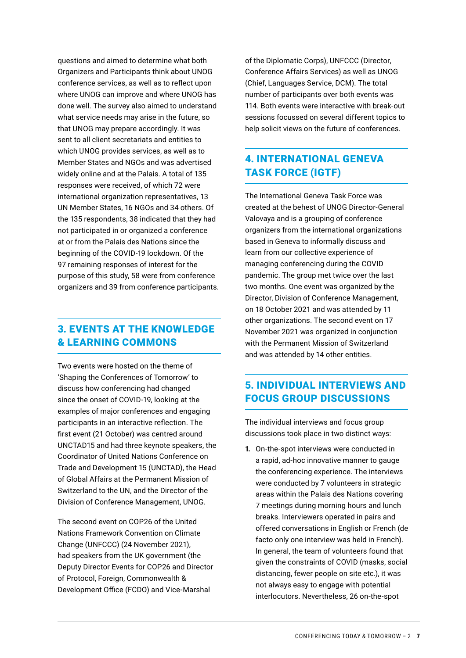questions and aimed to determine what both Organizers and Participants think about UNOG conference services, as well as to reflect upon where UNOG can improve and where UNOG has done well. The survey also aimed to understand what service needs may arise in the future, so that UNOG may prepare accordingly. It was sent to all client secretariats and entities to which UNOG provides services, as well as to Member States and NGOs and was advertised widely online and at the Palais. A total of 135 responses were received, of which 72 were international organization representatives, 13 UN Member States, 16 NGOs and 34 others. Of the 135 respondents, 38 indicated that they had not participated in or organized a conference at or from the Palais des Nations since the beginning of the COVID-19 lockdown. Of the 97 remaining responses of interest for the purpose of this study, 58 were from conference organizers and 39 from conference participants.

#### 3. EVENTS AT THE KNOWLEDGE & LEARNING COMMONS

Two events were hosted on the theme of 'Shaping the Conferences of Tomorrow' to discuss how conferencing had changed since the onset of COVID-19, looking at the examples of major conferences and engaging participants in an interactive reflection. The first event (21 October) was centred around UNCTAD15 and had three keynote speakers, the Coordinator of United Nations Conference on Trade and Development 15 (UNCTAD), the Head of Global Affairs at the Permanent Mission of Switzerland to the UN, and the Director of the Division of Conference Management, UNOG.

The second event on COP26 of the United Nations Framework Convention on Climate Change (UNFCCC) (24 November 2021), had speakers from the UK government (the Deputy Director Events for COP26 and Director of Protocol, Foreign, Commonwealth & Development Office (FCDO) and Vice-Marshal

of the Diplomatic Corps), UNFCCC (Director, Conference Affairs Services) as well as UNOG (Chief, Languages Service, DCM). The total number of participants over both events was 114. Both events were interactive with break-out sessions focussed on several different topics to help solicit views on the future of conferences.

### 4. INTERNATIONAL GENEVA TASK FORCE (IGTF)

The International Geneva Task Force was created at the behest of UNOG Director-General Valovaya and is a grouping of conference organizers from the international organizations based in Geneva to informally discuss and learn from our collective experience of managing conferencing during the COVID pandemic. The group met twice over the last two months. One event was organized by the Director, Division of Conference Management, on 18 October 2021 and was attended by 11 other organizations. The second event on 17 November 2021 was organized in conjunction with the Permanent Mission of Switzerland and was attended by 14 other entities.

#### 5. INDIVIDUAL INTERVIEWS AND FOCUS GROUP DISCUSSIONS

The individual interviews and focus group discussions took place in two distinct ways:

**1.** On-the-spot interviews were conducted in a rapid, ad-hoc innovative manner to gauge the conferencing experience. The interviews were conducted by 7 volunteers in strategic areas within the Palais des Nations covering 7 meetings during morning hours and lunch breaks. Interviewers operated in pairs and offered conversations in English or French (de facto only one interview was held in French). In general, the team of volunteers found that given the constraints of COVID (masks, social distancing, fewer people on site etc.), it was not always easy to engage with potential interlocutors. Nevertheless, 26 on-the-spot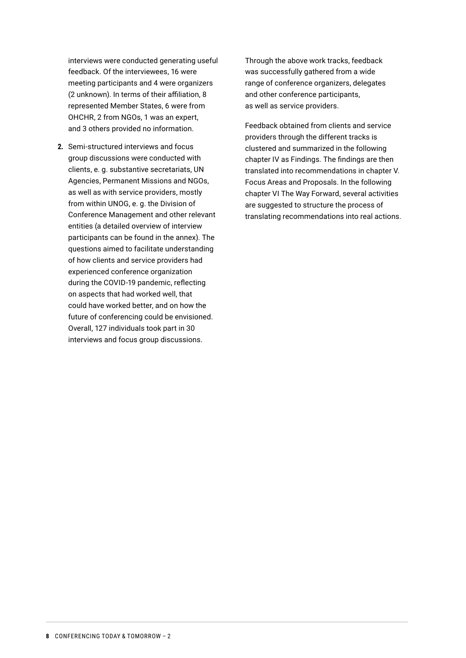interviews were conducted generating useful feedback. Of the interviewees, 16 were meeting participants and 4 were organizers (2 unknown). In terms of their affiliation, 8 represented Member States, 6 were from OHCHR, 2 from NGOs, 1 was an expert, and 3 others provided no information.

**2.** Semi-structured interviews and focus group discussions were conducted with clients, e. g. substantive secretariats, UN Agencies, Permanent Missions and NGOs, as well as with service providers, mostly from within UNOG, e. g. the Division of Conference Management and other relevant entities (a detailed overview of interview participants can be found in the annex). The questions aimed to facilitate understanding of how clients and service providers had experienced conference organization during the COVID-19 pandemic, reflecting on aspects that had worked well, that could have worked better, and on how the future of conferencing could be envisioned. Overall, 127 individuals took part in 30 interviews and focus group discussions.

Through the above work tracks, feedback was successfully gathered from a wide range of conference organizers, delegates and other conference participants, as well as service providers.

Feedback obtained from clients and service providers through the different tracks is clustered and summarized in the following chapter IV as Findings. The findings are then translated into recommendations in chapter V. Focus Areas and Proposals. In the following chapter VI The Way Forward, several activities are suggested to structure the process of translating recommendations into real actions.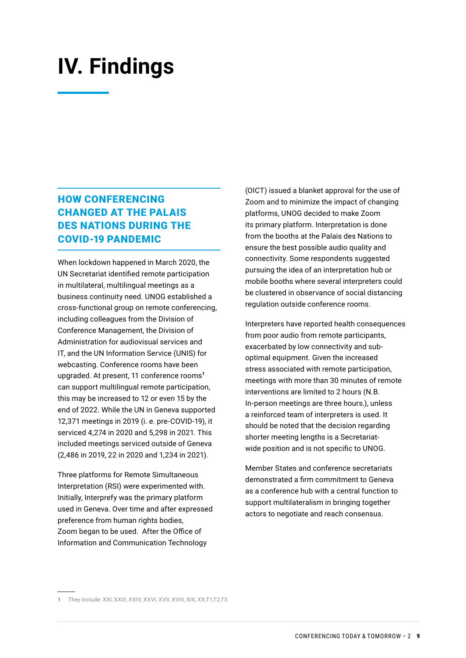## <span id="page-9-0"></span>**IV. Findings**

### HOW CONFERENCING CHANGED AT THE PALAIS DES NATIONS DURING THE COVID-19 PANDEMIC

When lockdown happened in March 2020, the UN Secretariat identified remote participation in multilateral, multilingual meetings as a business continuity need. UNOG established a cross-functional group on remote conferencing, including colleagues from the Division of Conference Management, the Division of Administration for audiovisual services and IT, and the UN Information Service (UNIS) for webcasting. Conference rooms have been upgraded. At present, 11 conference rooms<sup>1</sup> can support multilingual remote participation, this may be increased to 12 or even 15 by the end of 2022. While the UN in Geneva supported 12,371 meetings in 2019 (i. e. pre-COVID-19), it serviced 4,274 in 2020 and 5,298 in 2021. This included meetings serviced outside of Geneva (2,486 in 2019, 22 in 2020 and 1,234 in 2021).

Three platforms for Remote Simultaneous Interpretation (RSI) were experimented with. Initially, Interprefy was the primary platform used in Geneva. Over time and after expressed preference from human rights bodies, Zoom began to be used. After the Office of Information and Communication Technology

(OICT) issued a blanket approval for the use of Zoom and to minimize the impact of changing platforms, UNOG decided to make Zoom its primary platform. Interpretation is done from the booths at the Palais des Nations to ensure the best possible audio quality and connectivity. Some respondents suggested pursuing the idea of an interpretation hub or mobile booths where several interpreters could be clustered in observance of social distancing regulation outside conference rooms.

Interpreters have reported health consequences from poor audio from remote participants, exacerbated by low connectivity and suboptimal equipment. Given the increased stress associated with remote participation, meetings with more than 30 minutes of remote interventions are limited to 2 hours (N.B. In-person meetings are three hours.), unless a reinforced team of interpreters is used. It should be noted that the decision regarding shorter meeting lengths is a Secretariatwide position and is not specific to UNOG.

Member States and conference secretariats demonstrated a firm commitment to Geneva as a conference hub with a central function to support multilateralism in bringing together actors to negotiate and reach consensus.

**<sup>1</sup>** They include: XXI, XXIII, XXIV, XXVI, XVII, XVIII, XIX, XX,T1,T2,T3.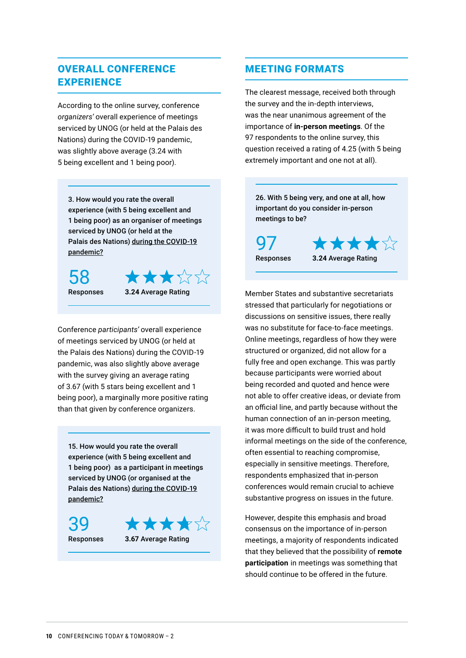### OVERALL CONFERENCE **EXPERIENCE**

According to the online survey, conference *organizers'* overall experience of meetings serviced by UNOG (or held at the Palais des Nations) during the COVID-19 pandemic, was slightly above average (3.24 with 5 being excellent and 1 being poor).

3. How would you rate the overall experience (with 5 being excellent and 1 being poor) as an organiser of meetings serviced by UNOG (or held at the Palais des Nations) during the COVID-19 pandemic?

58



Conference *participants'* overall experience of meetings serviced by UNOG (or held at the Palais des Nations) during the COVID-19 pandemic, was also slightly above average with the survey giving an average rating of 3.67 (with 5 stars being excellent and 1 being poor), a marginally more positive rating than that given by conference organizers.

15. How would you rate the overall experience (with 5 being excellent and 1 being poor) as a participant in meetings serviced by UNOG (or organised at the Palais des Nations) during the COVID-19 pandemic?

39



Responses **3.67** Average Rating

#### MEETING FORMATS

The clearest message, received both through the survey and the in-depth interviews, was the near unanimous agreement of the importance of **in-person meetings**. Of the 97 respondents to the online survey, this question received a rating of 4.25 (with 5 being extremely important and one not at all).

26. With 5 being very, and one at all, how important do you consider in-person meetings to be? ★★★★☆ 97

Responses **3.24** Average Rating

Member States and substantive secretariats stressed that particularly for negotiations or discussions on sensitive issues, there really was no substitute for face-to-face meetings. Online meetings, regardless of how they were structured or organized, did not allow for a fully free and open exchange. This was partly because participants were worried about being recorded and quoted and hence were not able to offer creative ideas, or deviate from an official line, and partly because without the human connection of an in-person meeting, it was more difficult to build trust and hold informal meetings on the side of the conference, often essential to reaching compromise, especially in sensitive meetings. Therefore, respondents emphasized that in-person conferences would remain crucial to achieve substantive progress on issues in the future.

However, despite this emphasis and broad consensus on the importance of in-person meetings, a majority of respondents indicated that they believed that the possibility of **remote participation** in meetings was something that should continue to be offered in the future.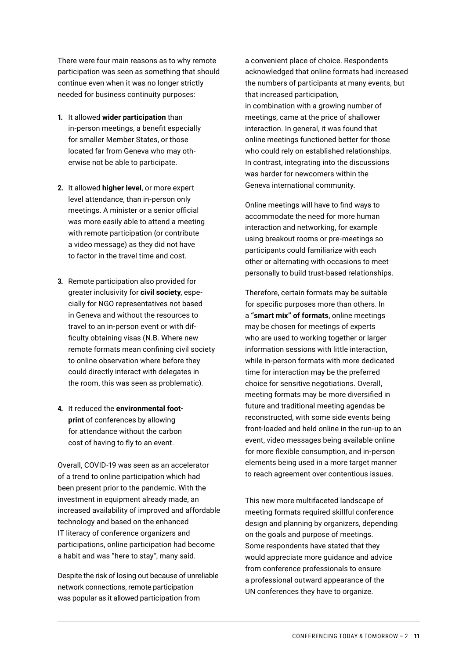There were four main reasons as to why remote participation was seen as something that should continue even when it was no longer strictly needed for business continuity purposes:

- **1.** It allowed **wider participation** than in-person meetings, a benefit especially for smaller Member States, or those located far from Geneva who may otherwise not be able to participate.
- **2.** It allowed **higher level**, or more expert level attendance, than in-person only meetings. A minister or a senior official was more easily able to attend a meeting with remote participation (or contribute a video message) as they did not have to factor in the travel time and cost.
- **3.** Remote participation also provided for greater inclusivity for **civil society**, especially for NGO representatives not based in Geneva and without the resources to travel to an in-person event or with difficulty obtaining visas (N.B. Where new remote formats mean confining civil society to online observation where before they could directly interact with delegates in the room, this was seen as problematic).
- **4.** It reduced the **environmental footprint** of conferences by allowing for attendance without the carbon cost of having to fly to an event.

Overall, COVID-19 was seen as an accelerator of a trend to online participation which had been present prior to the pandemic. With the investment in equipment already made, an increased availability of improved and affordable technology and based on the enhanced IT literacy of conference organizers and participations, online participation had become a habit and was "here to stay", many said.

Despite the risk of losing out because of unreliable network connections, remote participation was popular as it allowed participation from

a convenient place of choice. Respondents acknowledged that online formats had increased the numbers of participants at many events, but that increased participation, in combination with a growing number of meetings, came at the price of shallower interaction. In general, it was found that online meetings functioned better for those who could rely on established relationships. In contrast, integrating into the discussions was harder for newcomers within the Geneva international community.

Online meetings will have to find ways to accommodate the need for more human interaction and networking, for example using breakout rooms or pre-meetings so participants could familiarize with each other or alternating with occasions to meet personally to build trust-based relationships.

Therefore, certain formats may be suitable for specific purposes more than others. In a **"smart mix" of formats**, online meetings may be chosen for meetings of experts who are used to working together or larger information sessions with little interaction, while in-person formats with more dedicated time for interaction may be the preferred choice for sensitive negotiations. Overall, meeting formats may be more diversified in future and traditional meeting agendas be reconstructed, with some side events being front-loaded and held online in the run-up to an event, video messages being available online for more flexible consumption, and in-person elements being used in a more target manner to reach agreement over contentious issues.

This new more multifaceted landscape of meeting formats required skillful conference design and planning by organizers, depending on the goals and purpose of meetings. Some respondents have stated that they would appreciate more guidance and advice from conference professionals to ensure a professional outward appearance of the UN conferences they have to organize.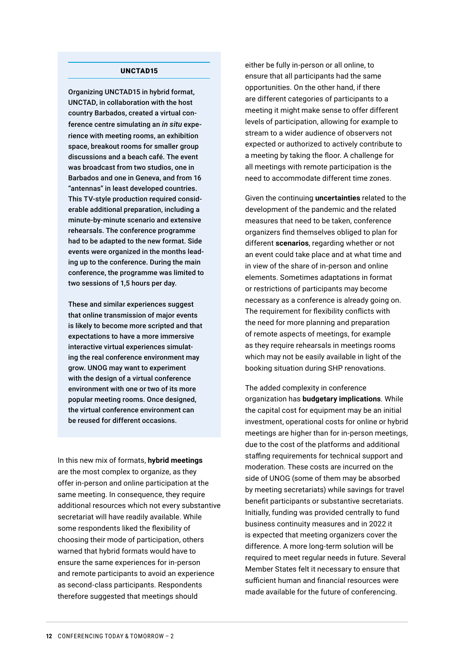#### UNCTAD15

Organizing UNCTAD15 in hybrid format, UNCTAD, in collaboration with the host country Barbados, created a virtual conference centre simulating an *in situ* experience with meeting rooms, an exhibition space, breakout rooms for smaller group discussions and a beach café. The event was broadcast from two studios, one in Barbados and one in Geneva, and from 16 "antennas" in least developed countries. This TV-style production required considerable additional preparation, including a minute-by-minute scenario and extensive rehearsals. The conference programme had to be adapted to the new format. Side events were organized in the months leading up to the conference. During the main conference, the programme was limited to two sessions of 1,5 hours per day.

These and similar experiences suggest that online transmission of major events is likely to become more scripted and that expectations to have a more immersive interactive virtual experiences simulating the real conference environment may grow. UNOG may want to experiment with the design of a virtual conference environment with one or two of its more popular meeting rooms. Once designed, the virtual conference environment can be reused for different occasions.

In this new mix of formats, **hybrid meetings** are the most complex to organize, as they offer in-person and online participation at the same meeting. In consequence, they require additional resources which not every substantive secretariat will have readily available. While some respondents liked the flexibility of choosing their mode of participation, others warned that hybrid formats would have to ensure the same experiences for in-person and remote participants to avoid an experience as second-class participants. Respondents therefore suggested that meetings should

either be fully in-person or all online, to ensure that all participants had the same opportunities. On the other hand, if there are different categories of participants to a meeting it might make sense to offer different levels of participation, allowing for example to stream to a wider audience of observers not expected or authorized to actively contribute to a meeting by taking the floor. A challenge for all meetings with remote participation is the need to accommodate different time zones.

Given the continuing **uncertainties** related to the development of the pandemic and the related measures that need to be taken, conference organizers find themselves obliged to plan for different **scenarios**, regarding whether or not an event could take place and at what time and in view of the share of in-person and online elements. Sometimes adaptations in format or restrictions of participants may become necessary as a conference is already going on. The requirement for flexibility conflicts with the need for more planning and preparation of remote aspects of meetings, for example as they require rehearsals in meetings rooms which may not be easily available in light of the booking situation during SHP renovations.

The added complexity in conference organization has **budgetary implications**. While the capital cost for equipment may be an initial investment, operational costs for online or hybrid meetings are higher than for in-person meetings, due to the cost of the platforms and additional staffing requirements for technical support and moderation. These costs are incurred on the side of UNOG (some of them may be absorbed by meeting secretariats) while savings for travel benefit participants or substantive secretariats. Initially, funding was provided centrally to fund business continuity measures and in 2022 it is expected that meeting organizers cover the difference. A more long-term solution will be required to meet regular needs in future. Several Member States felt it necessary to ensure that sufficient human and financial resources were made available for the future of conferencing.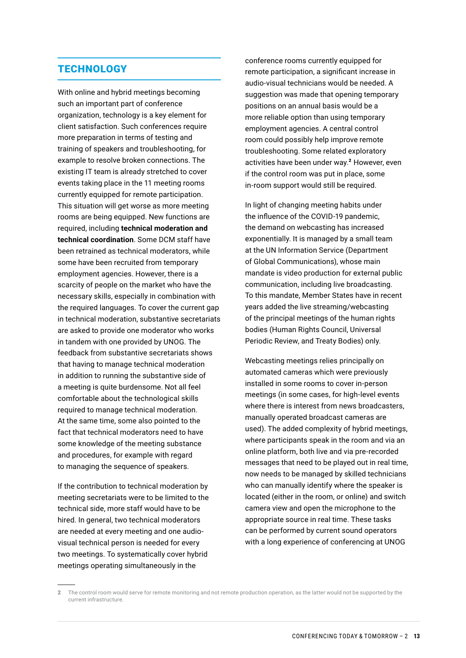#### **TECHNOLOGY**

With online and hybrid meetings becoming such an important part of conference organization, technology is a key element for client satisfaction. Such conferences require more preparation in terms of testing and training of speakers and troubleshooting, for example to resolve broken connections. The existing IT team is already stretched to cover events taking place in the 11 meeting rooms currently equipped for remote participation. This situation will get worse as more meeting rooms are being equipped. New functions are required, including **technical moderation and technical coordination**. Some DCM staff have been retrained as technical moderators, while some have been recruited from temporary employment agencies. However, there is a scarcity of people on the market who have the necessary skills, especially in combination with the required languages. To cover the current gap in technical moderation, substantive secretariats are asked to provide one moderator who works in tandem with one provided by UNOG. The feedback from substantive secretariats shows that having to manage technical moderation in addition to running the substantive side of a meeting is quite burdensome. Not all feel comfortable about the technological skills required to manage technical moderation. At the same time, some also pointed to the fact that technical moderators need to have some knowledge of the meeting substance and procedures, for example with regard to managing the sequence of speakers.

If the contribution to technical moderation by meeting secretariats were to be limited to the technical side, more staff would have to be hired. In general, two technical moderators are needed at every meeting and one audiovisual technical person is needed for every two meetings. To systematically cover hybrid meetings operating simultaneously in the

conference rooms currently equipped for remote participation, a significant increase in audio-visual technicians would be needed. A suggestion was made that opening temporary positions on an annual basis would be a more reliable option than using temporary employment agencies. A central control room could possibly help improve remote troubleshooting. Some related exploratory activities have been under way.<sup>2</sup> However, even if the control room was put in place, some in-room support would still be required.

In light of changing meeting habits under the influence of the COVID-19 pandemic, the demand on webcasting has increased exponentially. It is managed by a small team at the UN Information Service (Department of Global Communications), whose main mandate is video production for external public communication, including live broadcasting. To this mandate, Member States have in recent years added the live streaming/webcasting of the principal meetings of the human rights bodies (Human Rights Council, Universal Periodic Review, and Treaty Bodies) only.

Webcasting meetings relies principally on automated cameras which were previously installed in some rooms to cover in-person meetings (in some cases, for high-level events where there is interest from news broadcasters, manually operated broadcast cameras are used). The added complexity of hybrid meetings, where participants speak in the room and via an online platform, both live and via pre-recorded messages that need to be played out in real time, now needs to be managed by skilled technicians who can manually identify where the speaker is located (either in the room, or online) and switch camera view and open the microphone to the appropriate source in real time. These tasks can be performed by current sound operators with a long experience of conferencing at UNOG

**<sup>2</sup>** The control room would serve for remote monitoring and not remote production operation, as the latter would not be supported by the current infrastructure.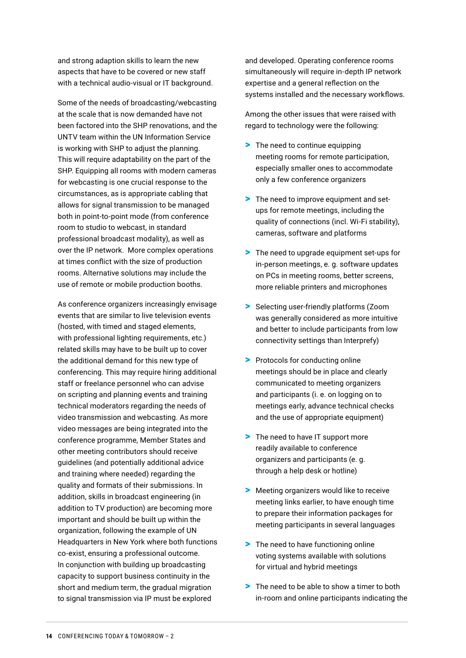and strong adaption skills to learn the new aspects that have to be covered or new staff with a technical audio-visual or IT background.

Some of the needs of broadcasting/webcasting at the scale that is now demanded have not been factored into the SHP renovations, and the UNTV team within the UN Information Service is working with SHP to adjust the planning. This will require adaptability on the part of the SHP. Equipping all rooms with modern cameras for webcasting is one crucial response to the circumstances, as is appropriate cabling that allows for signal transmission to be managed both in point-to-point mode (from conference room to studio to webcast, in standard professional broadcast modality), as well as over the IP network. More complex operations at times conflict with the size of production rooms. Alternative solutions may include the use of remote or mobile production booths.

As conference organizers increasingly envisage events that are similar to live television events (hosted, with timed and staged elements, with professional lighting requirements, etc.) related skills may have to be built up to cover the additional demand for this new type of conferencing. This may require hiring additional staff or freelance personnel who can advise on scripting and planning events and training technical moderators regarding the needs of video transmission and webcasting. As more video messages are being integrated into the conference programme, Member States and other meeting contributors should receive guidelines (and potentially additional advice and training where needed) regarding the quality and formats of their submissions. In addition, skills in broadcast engineering (in addition to TV production) are becoming more important and should be built up within the organization, following the example of UN Headquarters in New York where both functions co-exist, ensuring a professional outcome. In conjunction with building up broadcasting capacity to support business continuity in the short and medium term, the gradual migration to signal transmission via IP must be explored

and developed. Operating conference rooms simultaneously will require in-depth IP network expertise and a general reflection on the systems installed and the necessary workflows.

Among the other issues that were raised with regard to technology were the following:

- > The need to continue equipping meeting rooms for remote participation, especially smaller ones to accommodate only a few conference organizers
- > The need to improve equipment and setups for remote meetings, including the quality of connections (incl. Wi-Fi stability), cameras, software and platforms
- > The need to upgrade equipment set-ups for in-person meetings, e. g. software updates on PCs in meeting rooms, better screens, more reliable printers and microphones
- > Selecting user-friendly platforms (Zoom was generally considered as more intuitive and better to include participants from low connectivity settings than Interprefy)
- > Protocols for conducting online meetings should be in place and clearly communicated to meeting organizers and participants (i. e. on logging on to meetings early, advance technical checks and the use of appropriate equipment)
- > The need to have IT support more readily available to conference organizers and participants (e. g. through a help desk or hotline)
- > Meeting organizers would like to receive meeting links earlier, to have enough time to prepare their information packages for meeting participants in several languages
- > The need to have functioning online voting systems available with solutions for virtual and hybrid meetings
- > The need to be able to show a timer to both in-room and online participants indicating the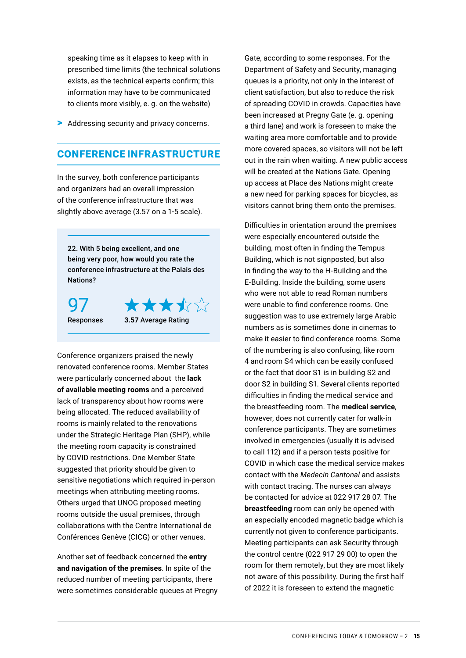speaking time as it elapses to keep with in prescribed time limits (the technical solutions exists, as the technical experts confirm; this information may have to be communicated to clients more visibly, e. g. on the website)

> Addressing security and privacy concerns.

#### CONFERENCE INFRASTRUCTURE

In the survey, both conference participants and organizers had an overall impression of the conference infrastructure that was slightly above average (3.57 on a 1-5 scale).

22. With 5 being excellent, and one being very poor, how would you rate the conference infrastructure at the Palais des Nations?

97



Conference organizers praised the newly renovated conference rooms. Member States were particularly concerned about the **lack of available meeting rooms** and a perceived lack of transparency about how rooms were being allocated. The reduced availability of rooms is mainly related to the renovations under the Strategic Heritage Plan (SHP), while the meeting room capacity is constrained by COVID restrictions. One Member State suggested that priority should be given to sensitive negotiations which required in-person meetings when attributing meeting rooms. Others urged that UNOG proposed meeting rooms outside the usual premises, through collaborations with the Centre International de Conférences Genève (CICG) or other venues.

Another set of feedback concerned the **entry and navigation of the premises**. In spite of the reduced number of meeting participants, there were sometimes considerable queues at Pregny

Gate, according to some responses. For the Department of Safety and Security, managing queues is a priority, not only in the interest of client satisfaction, but also to reduce the risk of spreading COVID in crowds. Capacities have been increased at Pregny Gate (e. g. opening a third lane) and work is foreseen to make the waiting area more comfortable and to provide more covered spaces, so visitors will not be left out in the rain when waiting. A new public access will be created at the Nations Gate. Opening up access at Place des Nations might create a new need for parking spaces for bicycles, as visitors cannot bring them onto the premises.

Difficulties in orientation around the premises were especially encountered outside the building, most often in finding the Tempus Building, which is not signposted, but also in finding the way to the H-Building and the E-Building. Inside the building, some users who were not able to read Roman numbers were unable to find conference rooms. One suggestion was to use extremely large Arabic numbers as is sometimes done in cinemas to make it easier to find conference rooms. Some of the numbering is also confusing, like room 4 and room S4 which can be easily confused or the fact that door S1 is in building S2 and door S2 in building S1. Several clients reported difficulties in finding the medical service and the breastfeeding room. The **medical service**, however, does not currently cater for walk-in conference participants. They are sometimes involved in emergencies (usually it is advised to call 112) and if a person tests positive for COVID in which case the medical service makes contact with the *Medecin Cantonal* and assists with contact tracing. The nurses can always be contacted for advice at 022 917 28 07. The **breastfeeding** room can only be opened with an especially encoded magnetic badge which is currently not given to conference participants. Meeting participants can ask Security through the control centre (022 917 29 00) to open the room for them remotely, but they are most likely not aware of this possibility. During the first half of 2022 it is foreseen to extend the magnetic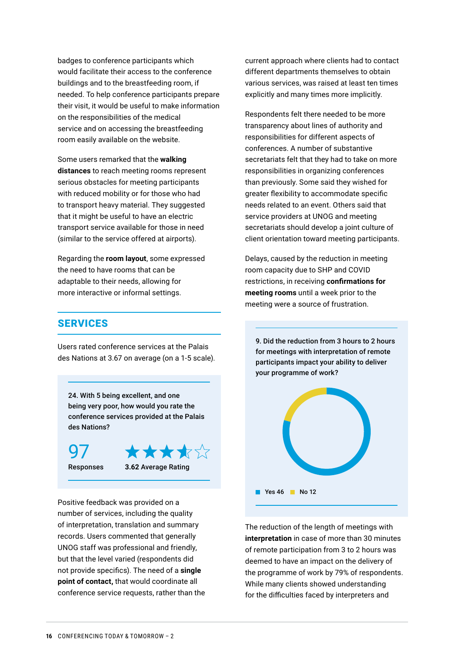badges to conference participants which would facilitate their access to the conference buildings and to the breastfeeding room, if needed. To help conference participants prepare their visit, it would be useful to make information on the responsibilities of the medical service and on accessing the breastfeeding room easily available on the website.

Some users remarked that the **walking distances** to reach meeting rooms represent serious obstacles for meeting participants with reduced mobility or for those who had to transport heavy material. They suggested that it might be useful to have an electric transport service available for those in need (similar to the service offered at airports).

Regarding the **room layout**, some expressed the need to have rooms that can be adaptable to their needs, allowing for more interactive or informal settings.

#### **SERVICES**

Users rated conference services at the Palais des Nations at 3.67 on average (on a 1-5 scale).

24. With 5 being excellent, and one being very poor, how would you rate the conference services provided at the Palais des Nations?

97



Positive feedback was provided on a number of services, including the quality of interpretation, translation and summary records. Users commented that generally UNOG staff was professional and friendly, but that the level varied (respondents did not provide specifics). The need of a **single point of contact,** that would coordinate all conference service requests, rather than the

current approach where clients had to contact different departments themselves to obtain various services, was raised at least ten times explicitly and many times more implicitly.

Respondents felt there needed to be more transparency about lines of authority and responsibilities for different aspects of conferences. A number of substantive secretariats felt that they had to take on more responsibilities in organizing conferences than previously. Some said they wished for greater flexibility to accommodate specific needs related to an event. Others said that service providers at UNOG and meeting secretariats should develop a joint culture of client orientation toward meeting participants.

Delays, caused by the reduction in meeting room capacity due to SHP and COVID restrictions, in receiving **confirmations for meeting rooms** until a week prior to the meeting were a source of frustration.

9. Did the reduction from 3 hours to 2 hours for meetings with interpretation of remote participants impact your ability to deliver your programme of work?



The reduction of the length of meetings with **interpretation** in case of more than 30 minutes of remote participation from 3 to 2 hours was deemed to have an impact on the delivery of the programme of work by 79% of respondents. While many clients showed understanding for the difficulties faced by interpreters and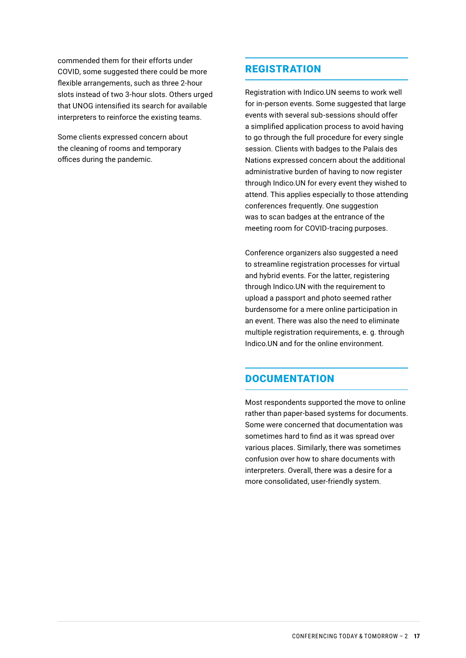commended them for their efforts under COVID, some suggested there could be more flexible arrangements, such as three 2-hour slots instead of two 3-hour slots. Others urged that UNOG intensified its search for available interpreters to reinforce the existing teams.

Some clients expressed concern about the cleaning of rooms and temporary offices during the pandemic.

#### REGISTRATION

Registration with Indico.UN seems to work well for in-person events. Some suggested that large events with several sub-sessions should offer a simplified application process to avoid having to go through the full procedure for every single session. Clients with badges to the Palais des Nations expressed concern about the additional administrative burden of having to now register through Indico.UN for every event they wished to attend. This applies especially to those attending conferences frequently. One suggestion was to scan badges at the entrance of the meeting room for COVID-tracing purposes.

Conference organizers also suggested a need to streamline registration processes for virtual and hybrid events. For the latter, registering through Indico.UN with the requirement to upload a passport and photo seemed rather burdensome for a mere online participation in an event. There was also the need to eliminate multiple registration requirements, e. g. through Indico.UN and for the online environment.

#### **DOCUMENTATION**

Most respondents supported the move to online rather than paper-based systems for documents. Some were concerned that documentation was sometimes hard to find as it was spread over various places. Similarly, there was sometimes confusion over how to share documents with interpreters. Overall, there was a desire for a more consolidated, user-friendly system.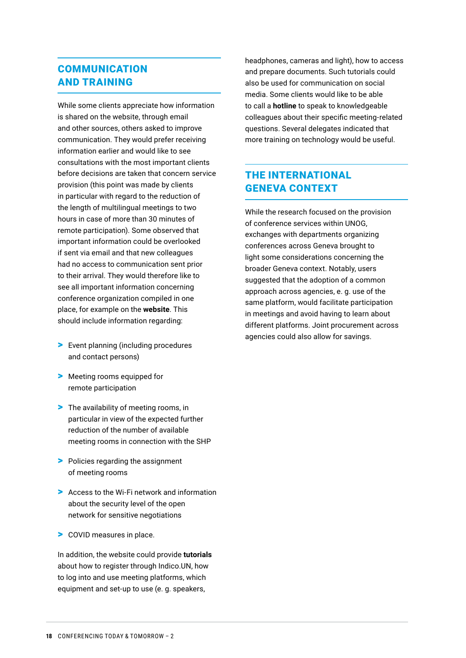### COMMUNICATION AND TRAINING

While some clients appreciate how information is shared on the website, through email and other sources, others asked to improve communication. They would prefer receiving information earlier and would like to see consultations with the most important clients before decisions are taken that concern service provision (this point was made by clients in particular with regard to the reduction of the length of multilingual meetings to two hours in case of more than 30 minutes of remote participation). Some observed that important information could be overlooked if sent via email and that new colleagues had no access to communication sent prior to their arrival. They would therefore like to see all important information concerning conference organization compiled in one place, for example on the **website**. This should include information regarding:

- > Event planning (including procedures and contact persons)
- > Meeting rooms equipped for remote participation
- > The availability of meeting rooms, in particular in view of the expected further reduction of the number of available meeting rooms in connection with the SHP
- > Policies regarding the assignment of meeting rooms
- > Access to the Wi-Fi network and information about the security level of the open network for sensitive negotiations
- > COVID measures in place.

In addition, the website could provide **tutorials** about how to register through Indico.UN, how to log into and use meeting platforms, which equipment and set-up to use (e. g. speakers,

headphones, cameras and light), how to access and prepare documents. Such tutorials could also be used for communication on social media. Some clients would like to be able to call a **hotline** to speak to knowledgeable colleagues about their specific meeting-related questions. Several delegates indicated that more training on technology would be useful.

#### THE INTERNATIONAL GENEVA CONTEXT

While the research focused on the provision of conference services within UNOG, exchanges with departments organizing conferences across Geneva brought to light some considerations concerning the broader Geneva context. Notably, users suggested that the adoption of a common approach across agencies, e. g. use of the same platform, would facilitate participation in meetings and avoid having to learn about different platforms. Joint procurement across agencies could also allow for savings.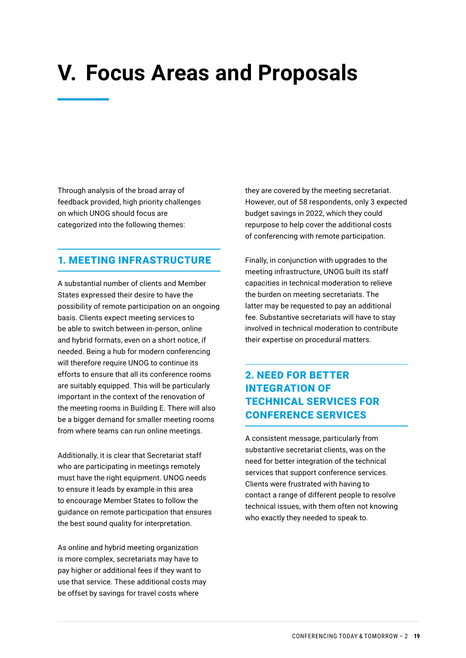# <span id="page-19-0"></span>**V. Focus Areas and Proposals**

Through analysis of the broad array of feedback provided, high priority challenges on which UNOG should focus are categorized into the following themes:

#### 1. MEETING INFRASTRUCTURE

A substantial number of clients and Member States expressed their desire to have the possibility of remote participation on an ongoing basis. Clients expect meeting services to be able to switch between in-person, online and hybrid formats, even on a short notice, if needed. Being a hub for modern conferencing will therefore require UNOG to continue its efforts to ensure that all its conference rooms are suitably equipped. This will be particularly important in the context of the renovation of the meeting rooms in Building E. There will also be a bigger demand for smaller meeting rooms from where teams can run online meetings.

Additionally, it is clear that Secretariat staff who are participating in meetings remotely must have the right equipment. UNOG needs to ensure it leads by example in this area to encourage Member States to follow the guidance on remote participation that ensures the best sound quality for interpretation.

As online and hybrid meeting organization is more complex, secretariats may have to pay higher or additional fees if they want to use that service. These additional costs may be offset by savings for travel costs where

they are covered by the meeting secretariat. However, out of 58 respondents, only 3 expected budget savings in 2022, which they could repurpose to help cover the additional costs of conferencing with remote participation.

Finally, in conjunction with upgrades to the meeting infrastructure, UNOG built its staff capacities in technical moderation to relieve the burden on meeting secretariats. The latter may be requested to pay an additional fee. Substantive secretariats will have to stay involved in technical moderation to contribute their expertise on procedural matters.

## 2. NEED FOR BETTER INTEGRATION OF TECHNICAL SERVICES FOR CONFERENCE SERVICES

A consistent message, particularly from substantive secretariat clients, was on the need for better integration of the technical services that support conference services. Clients were frustrated with having to contact a range of different people to resolve technical issues, with them often not knowing who exactly they needed to speak to.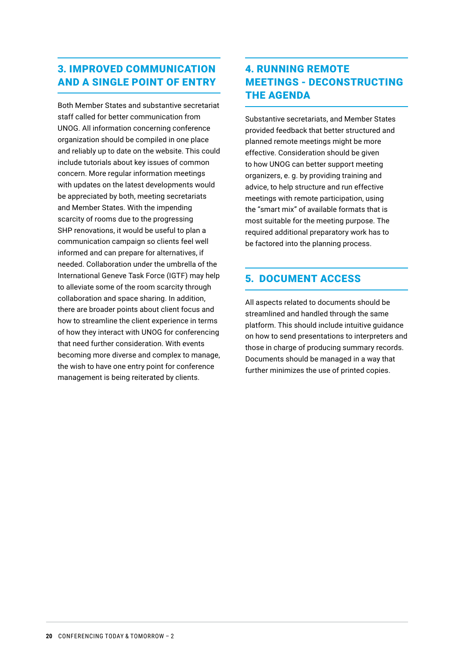### 3. IMPROVED COMMUNICATION AND A SINGLE POINT OF ENTRY

Both Member States and substantive secretariat staff called for better communication from UNOG. All information concerning conference organization should be compiled in one place and reliably up to date on the website. This could include tutorials about key issues of common concern. More regular information meetings with updates on the latest developments would be appreciated by both, meeting secretariats and Member States. With the impending scarcity of rooms due to the progressing SHP renovations, it would be useful to plan a communication campaign so clients feel well informed and can prepare for alternatives, if needed. Collaboration under the umbrella of the International Geneve Task Force (IGTF) may help to alleviate some of the room scarcity through collaboration and space sharing. In addition, there are broader points about client focus and how to streamline the client experience in terms of how they interact with UNOG for conferencing that need further consideration. With events becoming more diverse and complex to manage, the wish to have one entry point for conference management is being reiterated by clients.

### 4. RUNNING REMOTE MEETINGS - DECONSTRUCTING THE AGENDA

Substantive secretariats, and Member States provided feedback that better structured and planned remote meetings might be more effective. Consideration should be given to how UNOG can better support meeting organizers, e. g. by providing training and advice, to help structure and run effective meetings with remote participation, using the "smart mix" of available formats that is most suitable for the meeting purpose. The required additional preparatory work has to be factored into the planning process.

#### 5. DOCUMENT ACCESS

All aspects related to documents should be streamlined and handled through the same platform. This should include intuitive guidance on how to send presentations to interpreters and those in charge of producing summary records. Documents should be managed in a way that further minimizes the use of printed copies.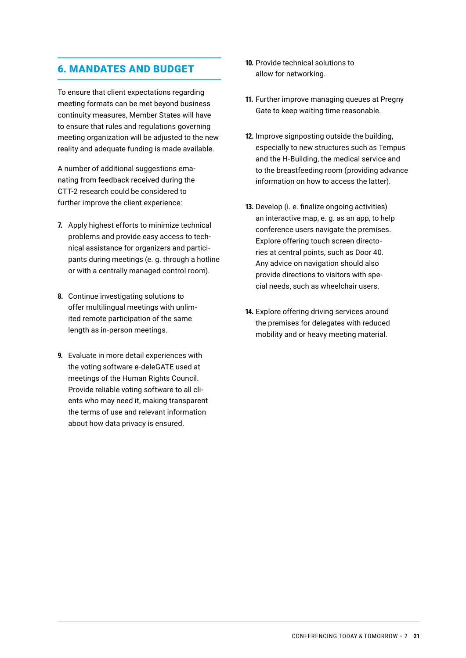#### 6. MANDATES AND BUDGET

To ensure that client expectations regarding meeting formats can be met beyond business continuity measures, Member States will have to ensure that rules and regulations governing meeting organization will be adjusted to the new reality and adequate funding is made available.

A number of additional suggestions emanating from feedback received during the CTT-2 research could be considered to further improve the client experience:

- **7.** Apply highest efforts to minimize technical problems and provide easy access to technical assistance for organizers and participants during meetings (e. g. through a hotline or with a centrally managed control room).
- **8.** Continue investigating solutions to offer multilingual meetings with unlimited remote participation of the same length as in-person meetings.
- **9.** Evaluate in more detail experiences with the voting software e-deleGATE used at meetings of the Human Rights Council. Provide reliable voting software to all clients who may need it, making transparent the terms of use and relevant information about how data privacy is ensured.
- **10.** Provide technical solutions to allow for networking.
- **11.** Further improve managing queues at Pregny Gate to keep waiting time reasonable.
- **12.** Improve signposting outside the building, especially to new structures such as Tempus and the H-Building, the medical service and to the breastfeeding room (providing advance information on how to access the latter).
- **13.** Develop (i. e. finalize ongoing activities) an interactive map, e. g. as an app, to help conference users navigate the premises. Explore offering touch screen directories at central points, such as Door 40. Any advice on navigation should also provide directions to visitors with special needs, such as wheelchair users.
- **14.** Explore offering driving services around the premises for delegates with reduced mobility and or heavy meeting material.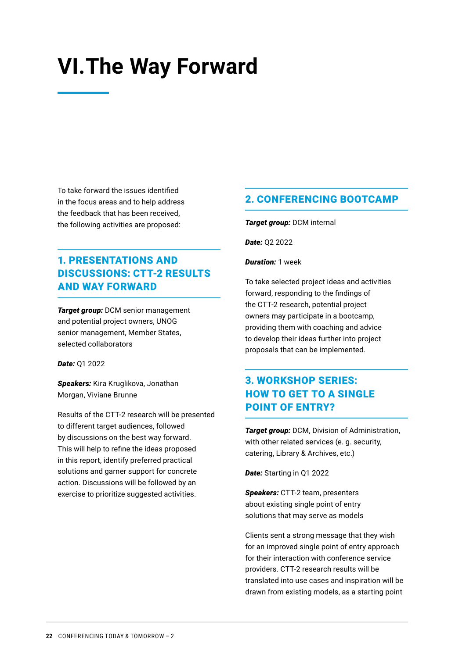## <span id="page-22-0"></span>**VI.The Way Forward**

To take forward the issues identified in the focus areas and to help address the feedback that has been received, the following activities are proposed:

### 1. PRESENTATIONS AND DISCUSSIONS: CTT-2 RESULTS AND WAY FORWARD

*Target group: DCM senior management* and potential project owners, UNOG senior management, Member States, selected collaborators

*Date:* Q1 2022

**Speakers:** Kira Kruglikova, Jonathan Morgan, Viviane Brunne

Results of the CTT-2 research will be presented to different target audiences, followed by discussions on the best way forward. This will help to refine the ideas proposed in this report, identify preferred practical solutions and garner support for concrete action. Discussions will be followed by an exercise to prioritize suggested activities.

#### 2. CONFERENCING BOOTCAMP

*Target group:* DCM internal

*Date:* Q2 2022

*Duration:* 1 week

To take selected project ideas and activities forward, responding to the findings of the CTT-2 research, potential project owners may participate in a bootcamp, providing them with coaching and advice to develop their ideas further into project proposals that can be implemented.

### 3. WORKSHOP SERIES: HOW TO GET TO A SINGLE POINT OF ENTRY?

*Target group:* DCM, Division of Administration, with other related services (e. g. security, catering, Library & Archives, etc.)

*Date:* Starting in Q1 2022

*Speakers:* CTT-2 team, presenters about existing single point of entry solutions that may serve as models

Clients sent a strong message that they wish for an improved single point of entry approach for their interaction with conference service providers. CTT-2 research results will be translated into use cases and inspiration will be drawn from existing models, as a starting point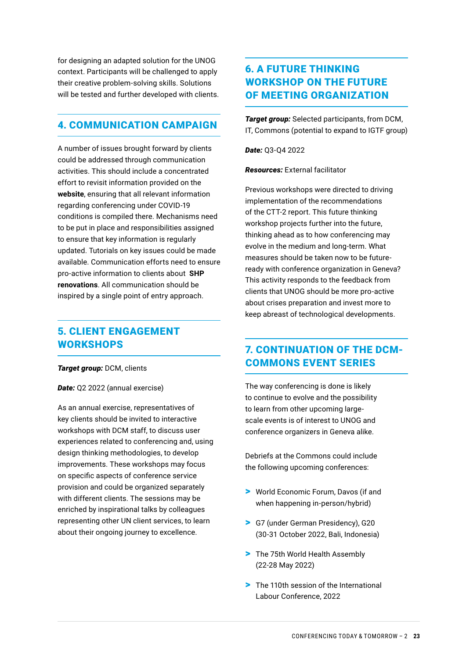for designing an adapted solution for the UNOG context. Participants will be challenged to apply their creative problem-solving skills. Solutions will be tested and further developed with clients.

#### 4. COMMUNICATION CAMPAIGN

A number of issues brought forward by clients could be addressed through communication activities. This should include a concentrated effort to revisit information provided on the **website**, ensuring that all relevant information regarding conferencing under COVID-19 conditions is compiled there. Mechanisms need to be put in place and responsibilities assigned to ensure that key information is regularly updated. Tutorials on key issues could be made available. Communication efforts need to ensure pro-active information to clients about **SHP renovations**. All communication should be inspired by a single point of entry approach.

#### 5. CLIENT ENGAGEMENT **WORKSHOPS**

#### *Target group:* DCM, clients

*Date:* Q2 2022 (annual exercise)

As an annual exercise, representatives of key clients should be invited to interactive workshops with DCM staff, to discuss user experiences related to conferencing and, using design thinking methodologies, to develop improvements. These workshops may focus on specific aspects of conference service provision and could be organized separately with different clients. The sessions may be enriched by inspirational talks by colleagues representing other UN client services, to learn about their ongoing journey to excellence.

### 6. A FUTURE THINKING WORKSHOP ON THE FUTURE OF MEETING ORGANIZATION

*Target group:* Selected participants, from DCM, IT, Commons (potential to expand to IGTF group)

*Date:* Q3-Q4 2022

*Resources:* External facilitator

Previous workshops were directed to driving implementation of the recommendations of the CTT-2 report. This future thinking workshop projects further into the future, thinking ahead as to how conferencing may evolve in the medium and long-term. What measures should be taken now to be futureready with conference organization in Geneva? This activity responds to the feedback from clients that UNOG should be more pro-active about crises preparation and invest more to keep abreast of technological developments.

#### 7. CONTINUATION OF THE DCM-COMMONS EVENT SERIES

The way conferencing is done is likely to continue to evolve and the possibility to learn from other upcoming largescale events is of interest to UNOG and conference organizers in Geneva alike.

Debriefs at the Commons could include the following upcoming conferences:

- > World Economic Forum, Davos (if and when happening in-person/hybrid)
- > G7 (under German Presidency), G20 (30-31 October 2022, Bali, Indonesia)
- > The 75th World Health Assembly (22-28 May 2022)
- > The 110th session of the International Labour Conference, 2022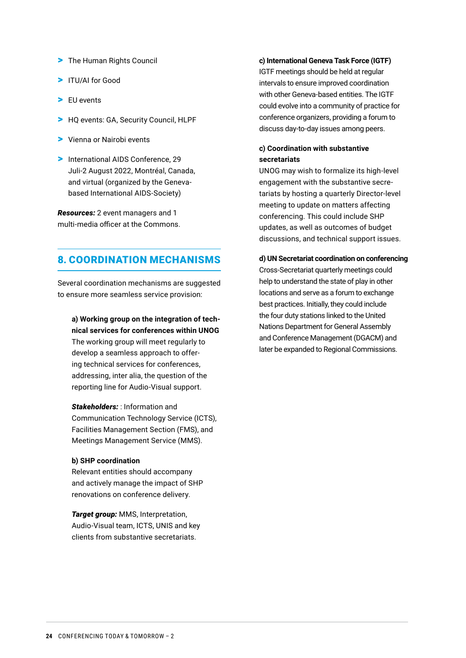- > The Human Rights Council
- > ITU/AI for Good
- > EU events
- > HQ events: GA, Security Council, HLPF
- > Vienna or Nairobi events
- > International AIDS Conference, 29 Juli-2 August 2022, Montréal, Canada, and virtual (organized by the Genevabased International AIDS-Society)

*Resources:* 2 event managers and 1 multi-media officer at the Commons.

#### 8. COORDINATION MECHANISMS

Several coordination mechanisms are suggested to ensure more seamless service provision:

- **a) Working group on the integration of technical services for conferences within UNOG** The working group will meet regularly to develop a seamless approach to offering technical services for conferences, addressing, inter alia, the question of the reporting line for Audio-Visual support.
- *Stakeholders:* : Information and Communication Technology Service (ICTS), Facilities Management Section (FMS), and Meetings Management Service (MMS).

#### **b) SHP coordination**

Relevant entities should accompany and actively manage the impact of SHP renovations on conference delivery.

*Target group: MMS, Interpretation,* Audio-Visual team, ICTS, UNIS and key clients from substantive secretariats.

#### **c) International Geneva Task Force (IGTF)**

IGTF meetings should be held at regular intervals to ensure improved coordination with other Geneva-based entities. The IGTF could evolve into a community of practice for conference organizers, providing a forum to discuss day-to-day issues among peers.

#### **c) Coordination with substantive secretariats**

UNOG may wish to formalize its high-level engagement with the substantive secretariats by hosting a quarterly Director-level meeting to update on matters affecting conferencing. This could include SHP updates, as well as outcomes of budget discussions, and technical support issues.

#### **d) UN Secretariat coordination on conferencing**

Cross-Secretariat quarterly meetings could help to understand the state of play in other locations and serve as a forum to exchange best practices. Initially, they could include the four duty stations linked to the United Nations Department for General Assembly and Conference Management (DGACM) and later be expanded to Regional Commissions.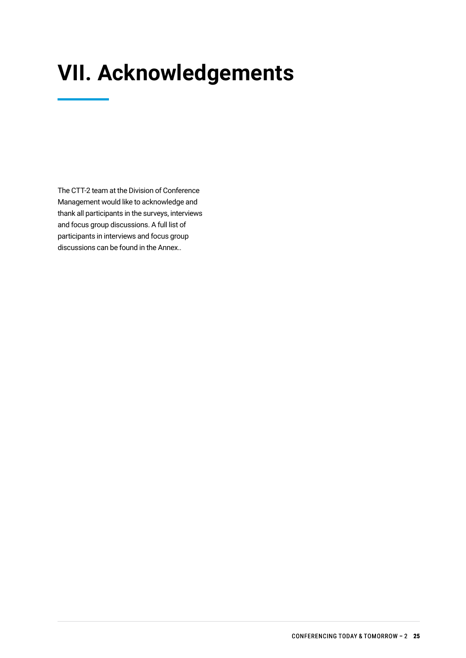# **VII. Acknowledgements**

The CTT-2 team at the Division of Conference Management would like to acknowledge and thank all participants in the surveys, interviews and focus group discussions. A full list of participants in interviews and focus group discussions can be found in the Annex..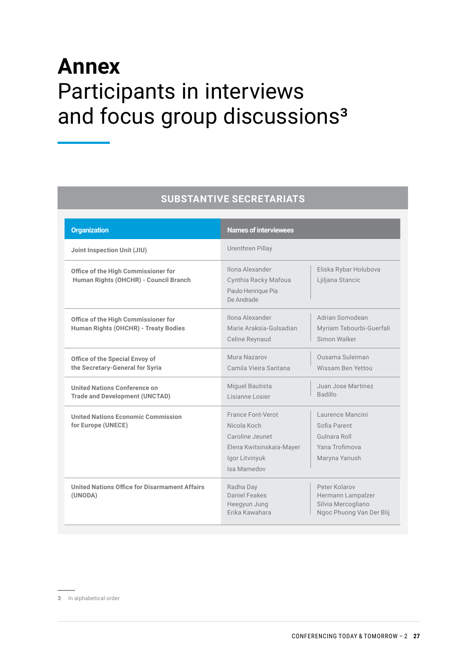# **Annex**  Participants in interviews and focus group discussions<sup>3</sup>

#### **SUBSTANTIVE SECRETARIATS**

| <b>Organization</b>                                                          | <b>Names of interviewees</b>                                                                                     |                                                                                      |
|------------------------------------------------------------------------------|------------------------------------------------------------------------------------------------------------------|--------------------------------------------------------------------------------------|
| Joint Inspection Unit (JIU)                                                  | Urenthren Pillay                                                                                                 |                                                                                      |
| Office of the High Commissioner for<br>Human Rights (OHCHR) - Council Branch | Ilona Alexander<br>Cynthia Racky Mafoua<br>Paulo Henrique Pia<br>De Andrade                                      | Eliska Rybar Holubova<br>Ljiljana Stancic                                            |
| Office of the High Commissioner for<br>Human Rights (OHCHR) - Treaty Bodies  | Ilona Alexander<br>Marie Araksia-Gulsadian<br>Celine Reynaud                                                     | Adrian Somodean<br>Myriam Tebourbi-Guerfali<br>Simon Walker                          |
| Office of the Special Envoy of<br>the Secretary-General for Syria            | Mura Nazarov<br>Camila Vieira Santana                                                                            | Qusama Suleiman<br>Wissam Ben Yettou                                                 |
| United Nations Conference on<br><b>Trade and Development (UNCTAD)</b>        | Miguel Bautista<br>Lisianne Losier                                                                               | Juan Jose Martinez<br>Badillo                                                        |
| <b>United Nations Economic Commission</b><br>for Europe (UNECE)              | France Font-Verot<br>Nicola Koch<br>Caroline Jeunet<br>Elena Kwitsinskaia-Mayer<br>Igor Litvinyuk<br>Isa Mamedov | Laurence Mancini<br>Sofia Parent<br>Gulnara Roll<br>Yana Trofimova<br>Maryna Yanush  |
| United Nations Office for Disarmament Affairs<br>(UNODA)                     | Radha Day<br>Daniel Feakes<br>Heegyun Jung<br>Frika Kawahara                                                     | Peter Kolarov<br>Hermann Lampalzer<br>Silvia Mercogliano<br>Ngoc Phuong Van Der Blij |

**3** In alphabetical order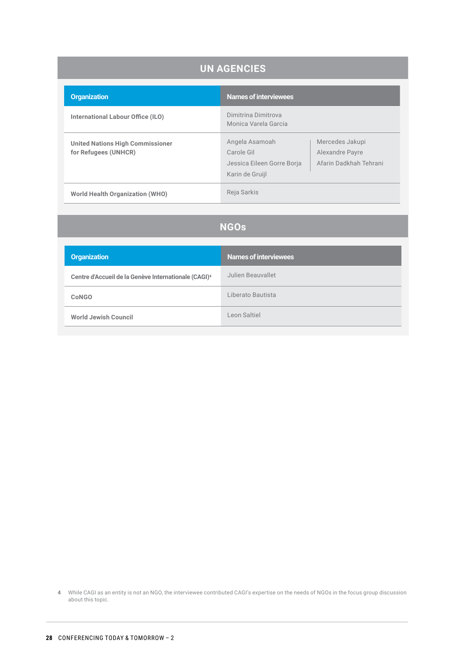| <b>UN AGENCIES</b>                                              |                                                                               |                                                              |  |  |  |
|-----------------------------------------------------------------|-------------------------------------------------------------------------------|--------------------------------------------------------------|--|--|--|
| <b>Organization</b>                                             | <b>Names of interviewees</b>                                                  |                                                              |  |  |  |
| International Labour Office (ILO)                               | Dimitrina Dimitrova<br>Monica Varela Garcia                                   |                                                              |  |  |  |
| <b>United Nations High Commissioner</b><br>for Refugees (UNHCR) | Angela Asamoah<br>Carole Gil<br>Jessica Eileen Gorre Borja<br>Karin de Gruijl | Mercedes Jakupi<br>Alexandre Payre<br>Afarin Dadkhah Tehrani |  |  |  |
| <b>World Health Organization (WHO)</b>                          | Reja Sarkis                                                                   |                                                              |  |  |  |

## **NGOs**

| <b>Organization</b>                                              | Names of interviewees |
|------------------------------------------------------------------|-----------------------|
| Centre d'Accueil de la Genève Internationale (CAGI) <sup>4</sup> | Julien Beauvallet     |
| <b>CoNGO</b>                                                     | Liberato Bautista     |
| <b>World Jewish Council</b>                                      | Leon Saltiel          |

**4** While CAGI as an entity is not an NGO, the interviewee contributed CAGI's expertise on the needs of NGOs in the focus group discussion about this topic.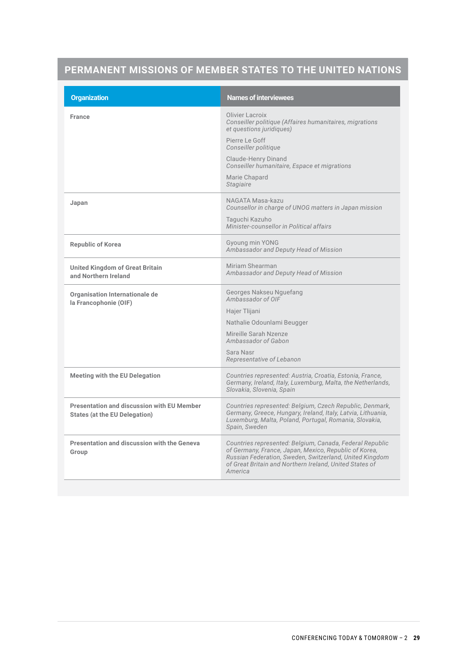## **PERMANENT MISSIONS OF MEMBER STATES TO THE UNITED NATIONS**

| <b>Names of interviewees</b>                                                                                                                                                                                                                       |  |
|----------------------------------------------------------------------------------------------------------------------------------------------------------------------------------------------------------------------------------------------------|--|
| Olivier Lacroix<br>Conseiller politique (Affaires humanitaires, migrations<br>et questions juridiques)                                                                                                                                             |  |
| Pierre Le Goff<br>Conseiller politique                                                                                                                                                                                                             |  |
| <b>Claude-Henry Dinand</b><br>Conseiller humanitaire, Espace et migrations                                                                                                                                                                         |  |
| Marie Chapard<br><b>Stagiaire</b>                                                                                                                                                                                                                  |  |
| NAGATA Masa-kazu<br>Counsellor in charge of UNOG matters in Japan mission                                                                                                                                                                          |  |
| Taguchi Kazuho<br>Minister-counsellor in Political affairs                                                                                                                                                                                         |  |
| Gyoung min YONG<br>Ambassador and Deputy Head of Mission                                                                                                                                                                                           |  |
| Miriam Shearman<br>Ambassador and Deputy Head of Mission                                                                                                                                                                                           |  |
| Georges Nakseu Nguefang<br>Ambassador of OIF                                                                                                                                                                                                       |  |
| Hajer Tlijani                                                                                                                                                                                                                                      |  |
| Nathalie Odounlami Beugger                                                                                                                                                                                                                         |  |
| Mireille Sarah Nzenze<br>Ambassador of Gabon                                                                                                                                                                                                       |  |
| Sara Nasr<br>Representative of Lebanon                                                                                                                                                                                                             |  |
| Countries represented: Austria, Croatia, Estonia, France,<br>Germany, Ireland, Italy, Luxemburg, Malta, the Netherlands,<br>Slovakia, Slovenia, Spain                                                                                              |  |
| Countries represented: Belgium, Czech Republic, Denmark,<br>Germany, Greece, Hungary, Ireland, Italy, Latvia, Lithuania,<br>Luxemburg, Malta, Poland, Portugal, Romania, Slovakia,<br>Spain, Sweden                                                |  |
| Countries represented: Belgium, Canada, Federal Republic<br>of Germany, France, Japan, Mexico, Republic of Korea,<br>Russian Federation, Sweden, Switzerland, United Kingdom<br>of Great Britain and Northern Ireland, United States of<br>America |  |
|                                                                                                                                                                                                                                                    |  |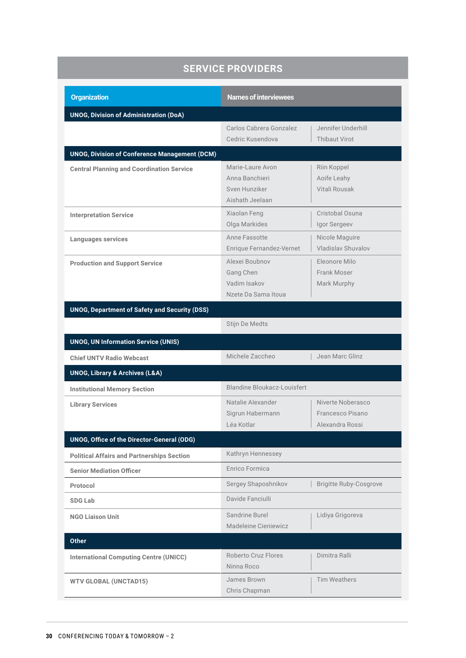| <b>SERVICE PROVIDERS</b>                             |                                                                        |                                                          |  |  |  |
|------------------------------------------------------|------------------------------------------------------------------------|----------------------------------------------------------|--|--|--|
| <b>Organization</b>                                  | <b>Names of interviewees</b>                                           |                                                          |  |  |  |
| <b>UNOG, Division of Administration (DoA)</b>        |                                                                        |                                                          |  |  |  |
|                                                      | Carlos Cabrera Gonzalez<br>Cedric Kusendova                            | Jennifer Underhill<br><b>Thibaut Virot</b>               |  |  |  |
| <b>UNOG, Division of Conference Management (DCM)</b> |                                                                        |                                                          |  |  |  |
| <b>Central Planning and Coordination Service</b>     | Marie-Laure Avon<br>Anna Banchieri<br>Sven Hunziker<br>Aishath Jeelaan | Riin Koppel<br>Aoife Leahy<br>Vitali Rousak              |  |  |  |
| <b>Interpretation Service</b>                        | Xiaolan Feng<br>Olga Markides                                          | Cristobal Osuna<br>Igor Sergeev                          |  |  |  |
| <b>Languages services</b>                            | Anne Fassotte<br>Enrique Fernandez-Vernet                              | Nicole Maguire<br><b>Vladislav Shuvalov</b>              |  |  |  |
| <b>Production and Support Service</b>                | Alexei Boubnov<br>Gang Chen<br>Vadim Isakov<br>Nzete Da Sama Itoua     | Eleonore Milo<br>Frank Moser<br>Mark Murphy              |  |  |  |
| <b>UNOG, Department of Safety and Security (DSS)</b> |                                                                        |                                                          |  |  |  |
|                                                      | Stijn De Medts                                                         |                                                          |  |  |  |
| <b>UNOG, UN Information Service (UNIS)</b>           |                                                                        |                                                          |  |  |  |
| <b>Chief UNTV Radio Webcast</b>                      | Michele Zaccheo                                                        | Jean Marc Glinz                                          |  |  |  |
| <b>UNOG, Library &amp; Archives (L&amp;A)</b>        |                                                                        |                                                          |  |  |  |
| <b>Institutional Memory Section</b>                  | Blandine Bloukacz-Louisfert                                            |                                                          |  |  |  |
| <b>Library Services</b>                              | Natalie Alexander<br>Sigrun Habermann<br>Léa Kotlar                    | Niverte Noberasco<br>Francesco Pisano<br>Alexandra Rossi |  |  |  |
| UNOG, Office of the Director-General (ODG)           |                                                                        |                                                          |  |  |  |
| <b>Political Affairs and Partnerships Section</b>    | Kathryn Hennessey                                                      |                                                          |  |  |  |
| <b>Senior Mediation Officer</b>                      | Enrico Formica                                                         |                                                          |  |  |  |
| Protocol                                             | Sergey Shaposhnikov                                                    | <b>Brigitte Ruby-Cosgrove</b>                            |  |  |  |
| <b>SDG Lab</b>                                       | Davide Fanciulli                                                       |                                                          |  |  |  |
| <b>NGO Liaison Unit</b>                              | Sandrine Burel<br>Madeleine Cieniewicz                                 | Lidiya Grigoreva                                         |  |  |  |
| <b>Other</b>                                         |                                                                        |                                                          |  |  |  |
| <b>International Computing Centre (UNICC)</b>        | <b>Roberto Cruz Flores</b><br>Ninna Roco                               | Dimitra Ralli                                            |  |  |  |
| <b>WTV GLOBAL (UNCTAD15)</b>                         | James Brown<br>Chris Chapman                                           | <b>Tim Weathers</b>                                      |  |  |  |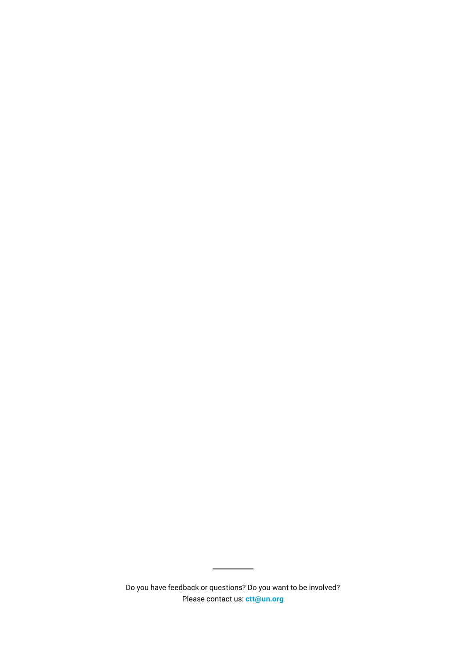Do you have feedback or questions? Do you want to be involved? Please contact us: **ctt@un.org**

 $\overline{\phantom{a}}$ 

 $\overline{a}$